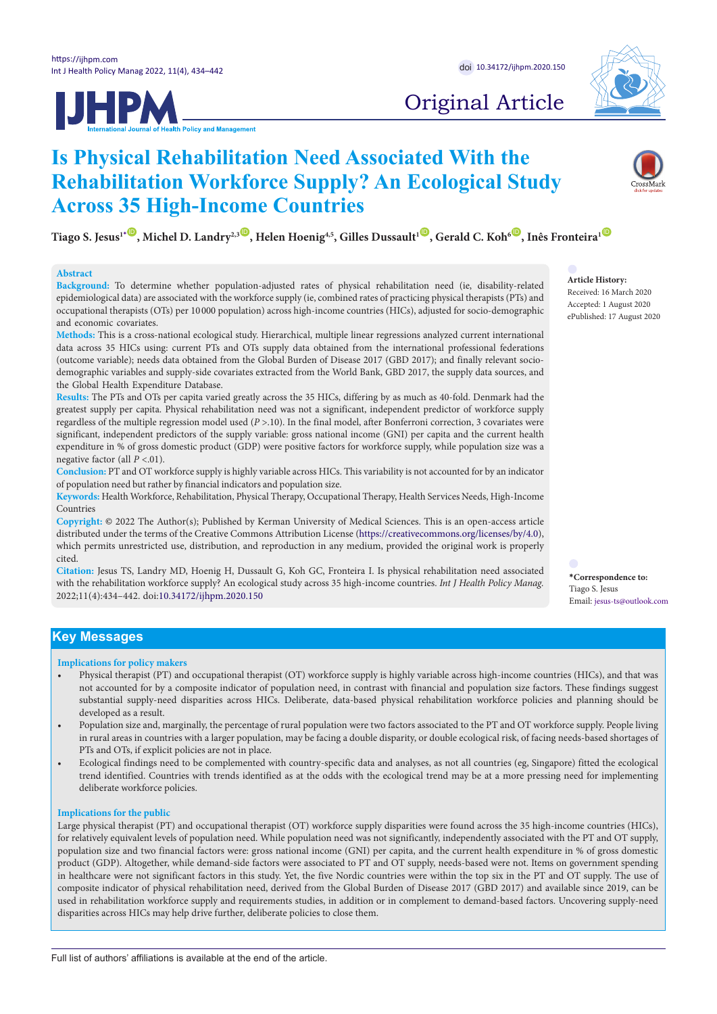



# Original Article

# **Is Physical Rehabilitation Need Associated With the Rehabilitation Workforce Supply? An Ecological Study Across 35 High-Income Countries**

**Tiago S. Jesus<sup>1</sub>, <b>[ID](https://orcid.org/0000-0003-1406-4585)**, Michel D. Landry<sup>2,3</sup><sup>(0)</sup>, Helen Hoenig<sup>4,5</sup>, Gilles Dussault<sup>1</sup><sup>(0)</sup>, Gerald C. Koh<sup>6</sub><sup>(0)</sup>, Inês Fronteira<sup>1</sup><sup>(0)</sup></sup></sup>

## **Abstract**

**Background:** To determine whether population-adjusted rates of physical rehabilitation need (ie, disability-related epidemiological data) are associated with the workforce supply (ie, combined rates of practicing physical therapists (PTs) and occupational therapists (OTs) per 10 000 population) across high-income countries (HICs), adjusted for socio-demographic and economic covariates.

**Methods:** This is a cross-national ecological study. Hierarchical, multiple linear regressions analyzed current international data across 35 HICs using: current PTs and OTs supply data obtained from the international professional federations (outcome variable); needs data obtained from the Global Burden of Disease 2017 (GBD 2017); and finally relevant sociodemographic variables and supply-side covariates extracted from the World Bank, GBD 2017, the supply data sources, and the Global Health Expenditure Database.

**Results:** The PTs and OTs per capita varied greatly across the 35 HICs, differing by as much as 40-fold. Denmark had the greatest supply per capita. Physical rehabilitation need was not a significant, independent predictor of workforce supply regardless of the multiple regression model used (*P* >.10). In the final model, after Bonferroni correction, 3 covariates were significant, independent predictors of the supply variable: gross national income (GNI) per capita and the current health expenditure in % of gross domestic product (GDP) were positive factors for workforce supply, while population size was a negative factor (all *P* <.01).

**Conclusion:** PT and OT workforce supply is highly variable across HICs. This variability is not accounted for by an indicator of population need but rather by financial indicators and population size.

**Keywords:** Health Workforce, Rehabilitation, Physical Therapy, Occupational Therapy, Health Services Needs, High-Income Countries

**Copyright:** © 2022 The Author(s); Published by Kerman University of Medical Sciences. This is an open-access article distributed under the terms of the Creative Commons Attribution License [\(https://creativecommons.org/licenses/by/4.0\)](https://creativecommons.org/licenses/by/4.0), which permits unrestricted use, distribution, and reproduction in any medium, provided the original work is properly cited.

**Citation:** Jesus TS, Landry MD, Hoenig H, Dussault G, Koh GC, Fronteira I. Is physical rehabilitation need associated with the rehabilitation workforce supply? An ecological study across 35 high-income countries. *Int J Health Policy Manag.*  2022;11(4):434–442. doi:[10.34172/ijhpm.2020.150](https://doi.org/10.34172/ijhpm.2020.150)

**Article History:**

Received: 16 March 2020 Accepted: 1 August 2020 ePublished: 17 August 2020

<span id="page-0-0"></span>**\*Correspondence to:** Tiago S. Jesus Email: jesus-ts@outlook.com

# **Key Messages**

## **Implications for policy makers**

- Physical therapist (PT) and occupational therapist (OT) workforce supply is highly variable across high-income countries (HICs), and that was not accounted for by a composite indicator of population need, in contrast with financial and population size factors. These findings suggest substantial supply-need disparities across HICs. Deliberate, data-based physical rehabilitation workforce policies and planning should be developed as a result.
- Population size and, marginally, the percentage of rural population were two factors associated to the PT and OT workforce supply. People living in rural areas in countries with a larger population, may be facing a double disparity, or double ecological risk, of facing needs-based shortages of PTs and OTs, if explicit policies are not in place.
- Ecological findings need to be complemented with country-specific data and analyses, as not all countries (eg, Singapore) fitted the ecological trend identified. Countries with trends identified as at the odds with the ecological trend may be at a more pressing need for implementing deliberate workforce policies.

## **Implications for the public**

Large physical therapist (PT) and occupational therapist (OT) workforce supply disparities were found across the 35 high-income countries (HICs), for relatively equivalent levels of population need. While population need was not significantly, independently associated with the PT and OT supply, population size and two financial factors were: gross national income (GNI) per capita, and the current health expenditure in % of gross domestic product (GDP). Altogether, while demand-side factors were associated to PT and OT supply, needs-based were not. Items on government spending in healthcare were not significant factors in this study. Yet, the five Nordic countries were within the top six in the PT and OT supply. The use of composite indicator of physical rehabilitation need, derived from the Global Burden of Disease 2017 (GBD 2017) and available since 2019, can be used in rehabilitation workforce supply and requirements studies, in addition or in complement to demand-based factors. Uncovering supply-need disparities across HICs may help drive further, deliberate policies to close them.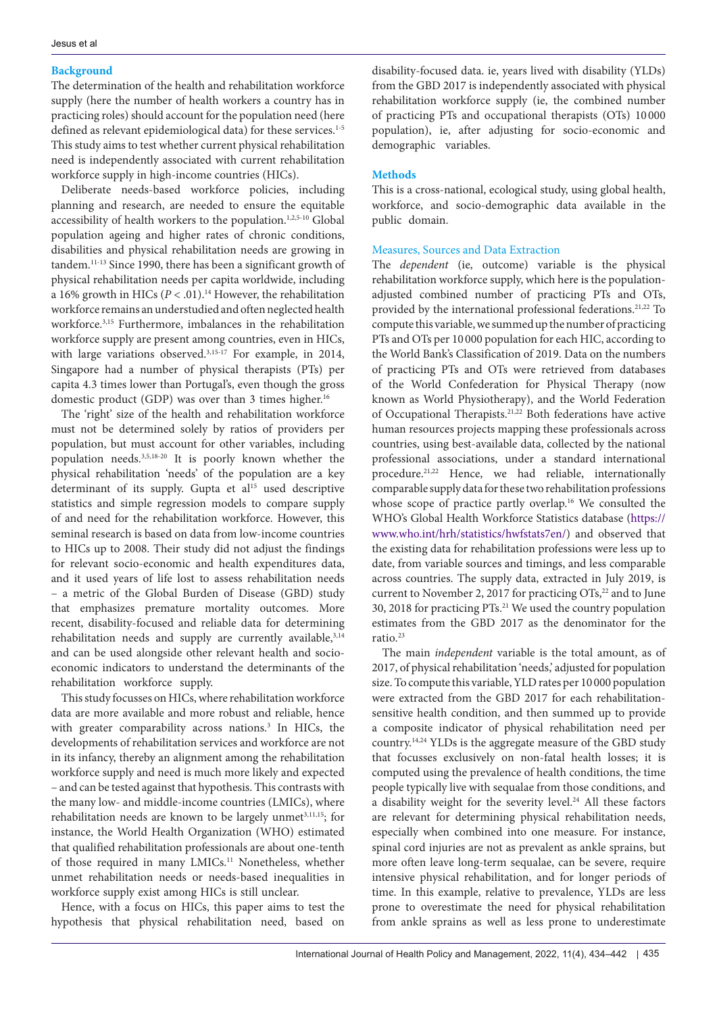# **Background**

The determination of the health and rehabilitation workforce supply (here the number of health workers a country has in practicing roles) should account for the population need (here defined as relevant epidemiological data) for these services.<sup>1-5</sup> This study aims to test whether current physical rehabilitation need is independently associated with current rehabilitation workforce supply in high-income countries (HICs).

Deliberate needs-based workforce policies, including planning and research, are needed to ensure the equitable accessibility of health workers to the population.<sup>1,2,5-10</sup> Global population ageing and higher rates of chronic conditions, disabilities and physical rehabilitation needs are growing in tandem.11-13 Since 1990, there has been a significant growth of physical rehabilitation needs per capita worldwide, including a 16% growth in HICs ( $P < .01$ ).<sup>14</sup> However, the rehabilitation workforce remains an understudied and often neglected health workforce.3,15 Furthermore, imbalances in the rehabilitation workforce supply are present among countries, even in HICs, with large variations observed.<sup>3,15-17</sup> For example, in 2014, Singapore had a number of physical therapists (PTs) per capita 4.3 times lower than Portugal's, even though the gross domestic product (GDP) was over than 3 times higher.<sup>16</sup>

The 'right' size of the health and rehabilitation workforce must not be determined solely by ratios of providers per population, but must account for other variables, including population needs.3,5,18-20 It is poorly known whether the physical rehabilitation 'needs' of the population are a key determinant of its supply. Gupta et al<sup>15</sup> used descriptive statistics and simple regression models to compare supply of and need for the rehabilitation workforce. However, this seminal research is based on data from low-income countries to HICs up to 2008. Their study did not adjust the findings for relevant socio-economic and health expenditures data, and it used years of life lost to assess rehabilitation needs – a metric of the Global Burden of Disease (GBD) study that emphasizes premature mortality outcomes. More recent, disability-focused and reliable data for determining rehabilitation needs and supply are currently available, 3,14 and can be used alongside other relevant health and socioeconomic indicators to understand the determinants of the rehabilitation workforce supply.

This study focusses on HICs, where rehabilitation workforce data are more available and more robust and reliable, hence with greater comparability across nations.<sup>3</sup> In HICs, the developments of rehabilitation services and workforce are not in its infancy, thereby an alignment among the rehabilitation workforce supply and need is much more likely and expected – and can be tested against that hypothesis. This contrasts with the many low- and middle-income countries (LMICs), where rehabilitation needs are known to be largely unmet<sup>3,11,15</sup>; for instance, the World Health Organization (WHO) estimated that qualified rehabilitation professionals are about one-tenth of those required in many LMICs.<sup>11</sup> Nonetheless, whether unmet rehabilitation needs or needs-based inequalities in workforce supply exist among HICs is still unclear.

Hence, with a focus on HICs, this paper aims to test the hypothesis that physical rehabilitation need, based on

disability-focused data. ie, years lived with disability (YLDs) from the GBD 2017 is independently associated with physical rehabilitation workforce supply (ie, the combined number of practicing PTs and occupational therapists (OTs) 10 000 population), ie, after adjusting for socio-economic and demographic variables.

## **Methods**

This is a cross-national, ecological study, using global health, workforce, and socio-demographic data available in the public domain.

## Measures, Sources and Data Extraction

The *dependent* (ie, outcome) variable is the physical rehabilitation workforce supply, which here is the populationadjusted combined number of practicing PTs and OTs, provided by the international professional federations.21,22 To compute this variable, we summed up the number of practicing PTs and OTs per 10 000 population for each HIC, according to the World Bank's Classification of 2019. Data on the numbers of practicing PTs and OTs were retrieved from databases of the World Confederation for Physical Therapy (now known as World Physiotherapy), and the World Federation of Occupational Therapists.<sup>21,22</sup> Both federations have active human resources projects mapping these professionals across countries, using best-available data, collected by the national professional associations, under a standard international procedure.<sup>21,22</sup> Hence, we had reliable, internationally comparable supply data for these two rehabilitation professions whose scope of practice partly overlap.<sup>16</sup> We consulted the WHO's Global Health Workforce Statistics database ([https://](https://www.who.int/hrh/statistics/hwfstats7en/) [www.who.int/hrh/statistics/hwfstats7en/](https://www.who.int/hrh/statistics/hwfstats7en/)) and observed that the existing data for rehabilitation professions were less up to date, from variable sources and timings, and less comparable across countries. The supply data, extracted in July 2019, is current to November 2, 2017 for practicing  $\text{OTs}$ ,<sup>22</sup> and to June 30, 2018 for practicing PTs.21 We used the country population estimates from the GBD 2017 as the denominator for the ratio.23

The main *independent* variable is the total amount, as of 2017, of physical rehabilitation 'needs,' adjusted for population size. To compute this variable, YLD rates per 10 000 population were extracted from the GBD 2017 for each rehabilitationsensitive health condition, and then summed up to provide a composite indicator of physical rehabilitation need per country.14,24 YLDs is the aggregate measure of the GBD study that focusses exclusively on non-fatal health losses; it is computed using the prevalence of health conditions, the time people typically live with sequalae from those conditions, and a disability weight for the severity level.<sup>24</sup> All these factors are relevant for determining physical rehabilitation needs, especially when combined into one measure. For instance, spinal cord injuries are not as prevalent as ankle sprains, but more often leave long-term sequalae, can be severe, require intensive physical rehabilitation, and for longer periods of time. In this example, relative to prevalence, YLDs are less prone to overestimate the need for physical rehabilitation from ankle sprains as well as less prone to underestimate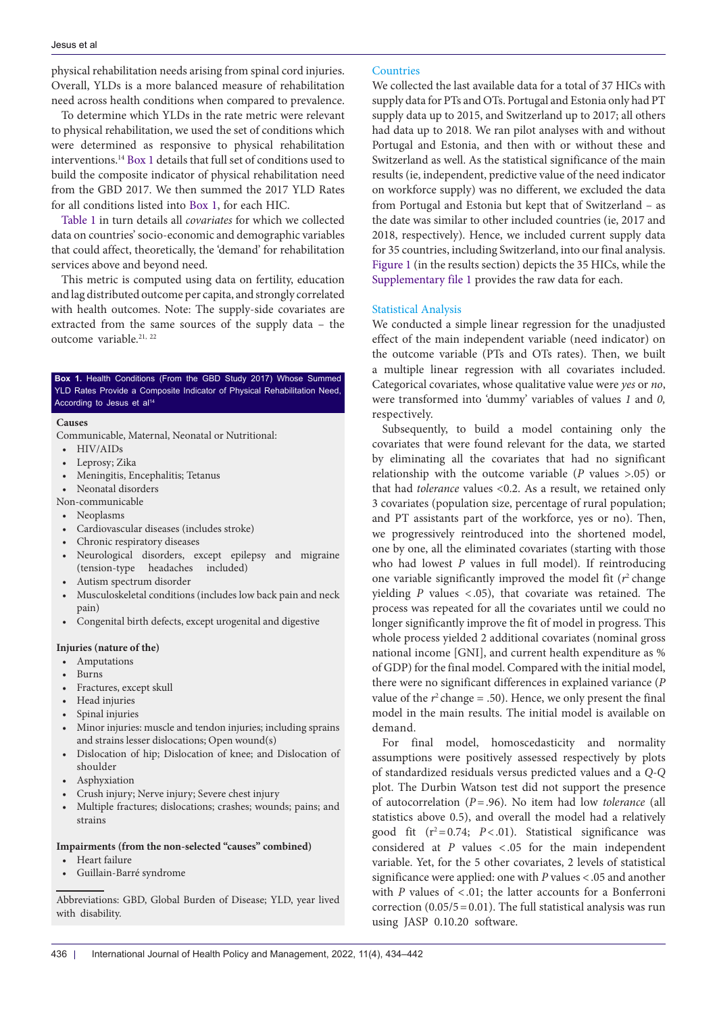physical rehabilitation needs arising from spinal cord injuries. Overall, YLDs is a more balanced measure of rehabilitation need across health conditions when compared to prevalence.

To determine which YLDs in the rate metric were relevant to physical rehabilitation, we used the set of conditions which were determined as responsive to physical rehabilitation interventions.14 [Box 1](#page-2-0) details that full set of conditions used to build the composite indicator of physical rehabilitation need from the GBD 2017. We then summed the 2017 YLD Rates for all conditions listed into [Box 1](#page-2-0), for each HIC.

[Table 1](#page-3-0) in turn details all *covariates* for which we collected data on countries' socio-economic and demographic variables that could affect, theoretically, the 'demand' for rehabilitation services above and beyond need.

This metric is computed using data on fertility, education and lag distributed outcome per capita, and strongly correlated with health outcomes. Note: The supply-side covariates are extracted from the same sources of the supply data – the outcome variable.21, 22

## <span id="page-2-0"></span>**Box 1.** Health Conditions (From the GBD Study 2017) Whose Summed YLD Rates Provide a Composite Indicator of Physical Rehabilitation Need, According to Jesus et al<sup>14</sup>

## **Causes**

Communicable, Maternal, Neonatal or Nutritional:

- HIV/AIDs
- Leprosy; Zika
- Meningitis, Encephalitis; Tetanus
- Neonatal disorders
- Non-communicable
- Neoplasms
- Cardiovascular diseases (includes stroke)
- Chronic respiratory diseases
- Neurological disorders, except epilepsy and migraine (tension-type headaches included)
- Autism spectrum disorder
- Musculoskeletal conditions (includes low back pain and neck pain)
- Congenital birth defects, except urogenital and digestive

## **Injuries (nature of the)**

- Amputations
- Burns
- Fractures, except skull
- Head injuries
- Spinal injuries
- Minor injuries: muscle and tendon injuries; including sprains and strains lesser dislocations; Open wound(s)
- Dislocation of hip; Dislocation of knee; and Dislocation of shoulder
- Asphyxiation
- Crush injury; Nerve injury; Severe chest injury
- Multiple fractures; dislocations; crashes; wounds; pains; and strains

## **Impairments (from the non-selected "causes" combined)**

- Heart failure
- Guillain-Barré syndrome

Abbreviations: GBD, Global Burden of Disease; YLD, year lived with disability.

## Countries

We collected the last available data for a total of 37 HICs with supply data for PTs and OTs. Portugal and Estonia only had PT supply data up to 2015, and Switzerland up to 2017; all others had data up to 2018. We ran pilot analyses with and without Portugal and Estonia, and then with or without these and Switzerland as well. As the statistical significance of the main results (ie, independent, predictive value of the need indicator on workforce supply) was no different, we excluded the data from Portugal and Estonia but kept that of Switzerland – as the date was similar to other included countries (ie, 2017 and 2018, respectively). Hence, we included current supply data for 35 countries, including Switzerland, into our final analysis. [Figure 1](#page-4-0) (in the results section) depicts the 35 HICs, while the [Supplementary file 1](#page-7-0) provides the raw data for each.

## Statistical Analysis

We conducted a simple linear regression for the unadjusted effect of the main independent variable (need indicator) on the outcome variable (PTs and OTs rates). Then, we built a multiple linear regression with all covariates included. Categorical covariates, whose qualitative value were *yes* or *no*, were transformed into 'dummy' variables of values *1* and *0,*  respectively.

Subsequently, to build a model containing only the covariates that were found relevant for the data, we started by eliminating all the covariates that had no significant relationship with the outcome variable (*P* values >.05) or that had *tolerance* values <0.2. As a result, we retained only 3 covariates (population size, percentage of rural population; and PT assistants part of the workforce, yes or no). Then, we progressively reintroduced into the shortened model, one by one, all the eliminated covariates (starting with those who had lowest *P* values in full model). If reintroducing one variable significantly improved the model fit  $(r^2)$  change yielding *P* values <.05), that covariate was retained. The process was repeated for all the covariates until we could no longer significantly improve the fit of model in progress. This whole process yielded 2 additional covariates (nominal gross national income [GNI], and current health expenditure as % of GDP) for the final model. Compared with the initial model, there were no significant differences in explained variance (*P*  value of the  $r^2$  change = .50). Hence, we only present the final model in the main results. The initial model is available on demand.

For final model, homoscedasticity and normality assumptions were positively assessed respectively by plots of standardized residuals versus predicted values and a *Q-Q* plot. The Durbin Watson test did not support the presence of autocorrelation (*P*=.96). No item had low *tolerance* (all statistics above 0.5), and overall the model had a relatively good fit (r<sup>2</sup>=0.74; *P*<.01). Statistical significance was considered at *P* values <.05 for the main independent variable. Yet, for the 5 other covariates, 2 levels of statistical significance were applied: one with *P* values <.05 and another with  $P$  values of  $\lt$ .01; the latter accounts for a Bonferroni correction  $(0.05/5=0.01)$ . The full statistical analysis was run using JASP 0.10.20 software.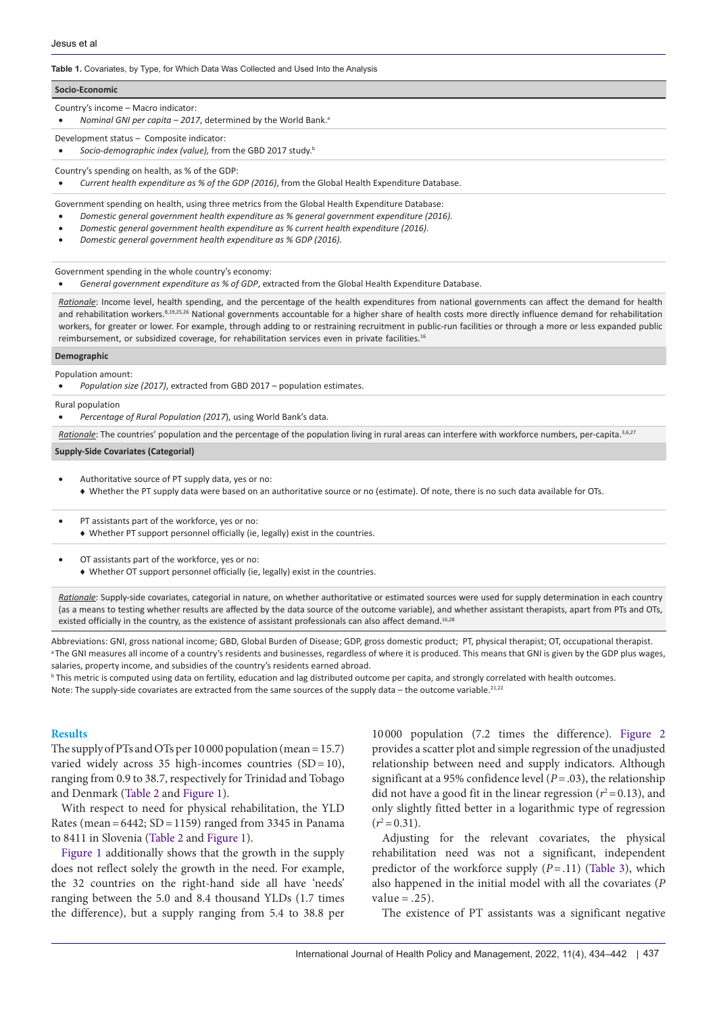#### <span id="page-3-0"></span>**Table 1.** Covariates, by Type, for Which Data Was Collected and Used Into the Analysis

#### **Socio-Economic**

- Country's income Macro indicator:
- *Nominal GNI per capita 2017*, determined by the World Bank.<sup>a</sup>
- Development status Composite indicator:
- • *Socio-demographic index (value),* from the GBD 2017 study.b
- Country's spending on health, as % of the GDP:

• *Current health expenditure as % of the GDP (2016)*, from the Global Health Expenditure Database.

Government spending on health, using three metrics from the Global Health Expenditure Database:

- Domestic general government health expenditure as % general government expenditure (2016).
- Domestic general government health expenditure as % current health expenditure (2016).
- **Domestic general government health expenditure as % GDP (2016).**

Government spending in the whole country's economy:

General government expenditure as % of GDP, extracted from the Global Health Expenditure Database.

*Rationale*: Income level, health spending, and the percentage of the health expenditures from national governments can affect the demand for health and rehabilitation workers.<sup>8,19,25,26</sup> National governments accountable for a higher share of health costs more directly influence demand for rehabilitation workers, for greater or lower. For example, through adding to or restraining recruitment in public-run facilities or through a more or less expanded public reimbursement, or subsidized coverage, for rehabilitation services even in private facilities.<sup>16</sup>

### **Demographic**

Population amount:

• *Population size (2017)*, extracted from GBD 2017 – population estimates.

Rural population

Percentage of Rural Population (2017), using World Bank's data.

*Rationale*: The countries' population and the percentage of the population living in rural areas can interfere with workforce numbers, per-capita.3,6,27

#### **Supply-Side Covariates (Categorial)**

- Authoritative source of PT supply data, yes or no:
	- ♦ Whether the PT supply data were based on an authoritative source or no (estimate). Of note, there is no such data available for OTs.
- PT assistants part of the workforce, yes or no:
	- ♦ Whether PT support personnel officially (ie, legally) exist in the countries.
- OT assistants part of the workforce, yes or no:
	- ♦ Whether OT support personnel officially (ie, legally) exist in the countries.

*Rationale*: Supply-side covariates, categorial in nature, on whether authoritative or estimated sources were used for supply determination in each country (as a means to testing whether results are affected by the data source of the outcome variable), and whether assistant therapists, apart from PTs and OTs, existed officially in the country, as the existence of assistant professionals can also affect demand.<sup>16,28</sup>

Abbreviations: GNI, gross national income; GBD, Global Burden of Disease; GDP, gross domestic product; PT, physical therapist; OT, occupational therapist. <sup>a</sup>The GNI measures all income of a country's residents and businesses, regardless of where it is produced. This means that GNI is given by the GDP plus wages, salaries, property income, and subsidies of the country's residents earned abroad.

b  This metric is computed using data on fertility, education and lag distributed outcome per capita, and strongly correlated with health outcomes.

Note: The supply-side covariates are extracted from the same sources of the supply data – the outcome variable.<sup>21,22</sup>

## **Results**

The supply of PTs and OTs per 10 000 population (mean=15.7) varied widely across 35 high-incomes countries  $(SD=10)$ , ranging from 0.9 to 38.7, respectively for Trinidad and Tobago and Denmark ([Table 2](#page-4-1) and [Figure 1\)](#page-4-0).

With respect to need for physical rehabilitation, the YLD Rates (mean =  $6442$ ; SD = 1159) ranged from 3345 in Panama to 8411 in Slovenia ([Table 2](#page-4-1) and [Figure 1\)](#page-4-0).

[Figure 1](#page-4-0) additionally shows that the growth in the supply does not reflect solely the growth in the need. For example, the 32 countries on the right-hand side all have 'needs' ranging between the 5.0 and 8.4 thousand YLDs (1.7 times the difference), but a supply ranging from 5.4 to 38.8 per

10 000 population (7.2 times the difference). [Figure 2](#page-5-0) provides a scatter plot and simple regression of the unadjusted relationship between need and supply indicators. Although significant at a 95% confidence level (*P*=.03), the relationship did not have a good fit in the linear regression ( $r^2$  = 0.13), and only slightly fitted better in a logarithmic type of regression  $(r^2=0.31)$ .

Adjusting for the relevant covariates, the physical rehabilitation need was not a significant, independent predictor of the workforce supply  $(P = .11)$  [\(Table 3](#page-5-1)), which also happened in the initial model with all the covariates (*P* value  $= .25$ ).

The existence of PT assistants was a significant negative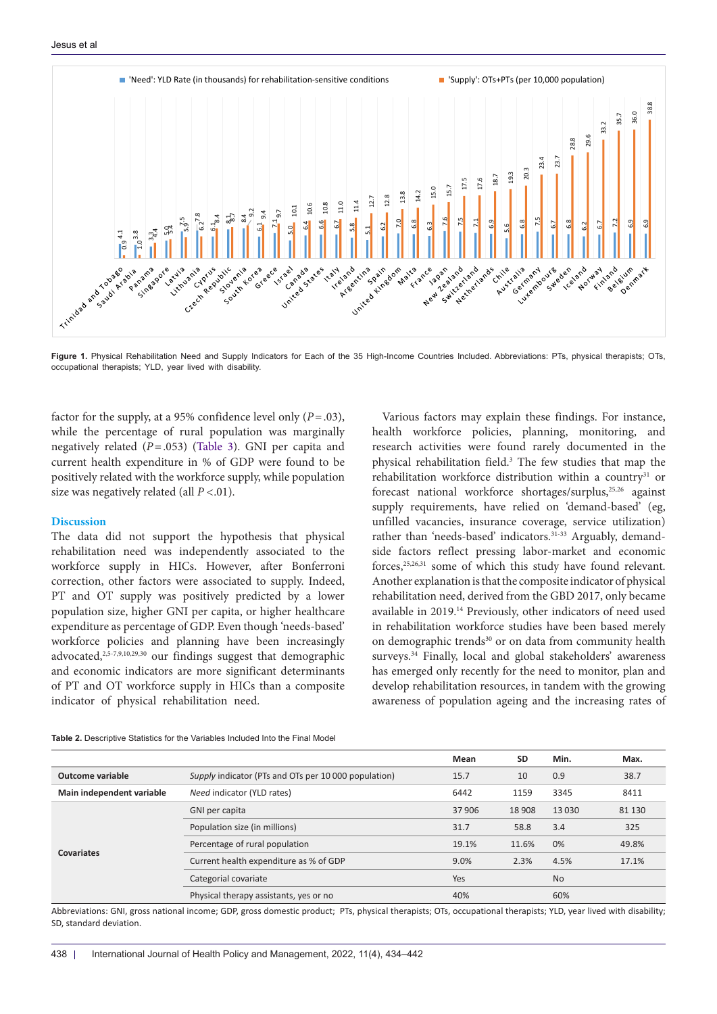<span id="page-4-0"></span>

Figure 1. Physical Rehabilitation Need and Supply Indicators for Each of the 35 High-Income Countries Included. Abbreviations: PTs, physical therapists; OTs, occupational therapists; YLD, year lived with disability.

factor for the supply, at a 95% confidence level only  $(P=.03)$ , while the percentage of rural population was marginally negatively related (*P*=.053) [\(Table 3\)](#page-5-1). GNI per capita and current health expenditure in % of GDP were found to be positively related with the workforce supply, while population size was negatively related (all *P <*.01).

# **Discussion**

The data did not support the hypothesis that physical rehabilitation need was independently associated to the workforce supply in HICs. However, after Bonferroni correction, other factors were associated to supply. Indeed, PT and OT supply was positively predicted by a lower population size, higher GNI per capita, or higher healthcare expenditure as percentage of GDP. Even though 'needs-based' workforce policies and planning have been increasingly advocated,2,5-7,9,10,29,30 our findings suggest that demographic and economic indicators are more significant determinants of PT and OT workforce supply in HICs than a composite indicator of physical rehabilitation need.

Various factors may explain these findings. For instance, health workforce policies, planning, monitoring, and research activities were found rarely documented in the physical rehabilitation field.<sup>3</sup> The few studies that map the rehabilitation workforce distribution within a country<sup>31</sup> or forecast national workforce shortages/surplus,<sup>25,26</sup> against supply requirements, have relied on 'demand-based' (eg, unfilled vacancies, insurance coverage, service utilization) rather than 'needs-based' indicators.<sup>31-33</sup> Arguably, demandside factors reflect pressing labor-market and economic forces,<sup>25,26,31</sup> some of which this study have found relevant. Another explanation is that the composite indicator of physical rehabilitation need, derived from the GBD 2017, only became available in 2019.14 Previously, other indicators of need used in rehabilitation workforce studies have been based merely on demographic trends<sup>30</sup> or on data from community health surveys.<sup>34</sup> Finally, local and global stakeholders' awareness has emerged only recently for the need to monitor, plan and develop rehabilitation resources, in tandem with the growing awareness of population ageing and the increasing rates of

|                           |                                                      | Mean  | <b>SD</b> | Min.      | Max.   |
|---------------------------|------------------------------------------------------|-------|-----------|-----------|--------|
| Outcome variable          | Supply indicator (PTs and OTs per 10 000 population) | 15.7  | 10        | 0.9       | 38.7   |
| Main independent variable | Need indicator (YLD rates)                           | 6442  | 1159      | 3345      | 8411   |
| Covariates                | GNI per capita                                       | 37906 | 18 908    | 13030     | 81 130 |
|                           | Population size (in millions)                        | 31.7  | 58.8      | 3.4       | 325    |
|                           | Percentage of rural population                       | 19.1% | 11.6%     | 0%        | 49.8%  |
|                           | Current health expenditure as % of GDP               | 9.0%  | 2.3%      | 4.5%      | 17.1%  |
|                           | Categorial covariate                                 | Yes   |           | <b>No</b> |        |
|                           | Physical therapy assistants, yes or no               | 40%   |           | 60%       |        |
|                           |                                                      |       |           |           |        |

<span id="page-4-1"></span>**Table 2.** Descriptive Statistics for the Variables Included Into the Final Model

Abbreviations: GNI, gross national income; GDP, gross domestic product; PTs, physical therapists; OTs, occupational therapists; YLD, year lived with disability; SD, standard deviation.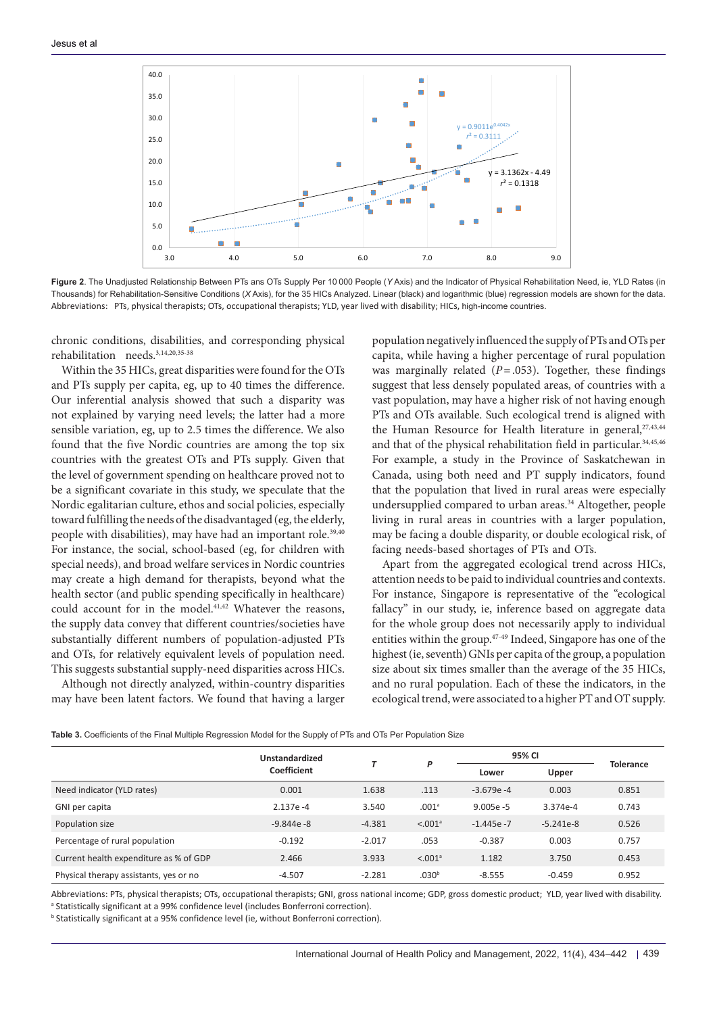<span id="page-5-0"></span>

**Figure 2**. The Unadjusted Relationship Between PTs ans OTs Supply Per 10 000 People (*Y* Axis) and the Indicator of Physical Rehabilitation Need, ie, YLD Rates (in Thousands) for Rehabilitation-Sensitive Conditions (*X* Axis), for the 35 HICs Analyzed. Linear (black) and logarithmic (blue) regression models are shown for the data. Abbreviations: PTs, physical therapists; OTs, occupational therapists; YLD, year lived with disability; HICs, high-income countries.

chronic conditions, disabilities, and corresponding physical rehabilitation needs.3,14,20,35-38

Within the 35 HICs, great disparities were found for the OTs and PTs supply per capita, eg, up to 40 times the difference. Our inferential analysis showed that such a disparity was not explained by varying need levels; the latter had a more sensible variation, eg, up to 2.5 times the difference. We also found that the five Nordic countries are among the top six countries with the greatest OTs and PTs supply. Given that the level of government spending on healthcare proved not to be a significant covariate in this study, we speculate that the Nordic egalitarian culture, ethos and social policies, especially toward fulfilling the needs of the disadvantaged (eg, the elderly, people with disabilities), may have had an important role.<sup>39,40</sup> For instance, the social, school-based (eg, for children with special needs), and broad welfare services in Nordic countries may create a high demand for therapists, beyond what the health sector (and public spending specifically in healthcare) could account for in the model.<sup>41,42</sup> Whatever the reasons, the supply data convey that different countries/societies have substantially different numbers of population-adjusted PTs and OTs, for relatively equivalent levels of population need. This suggests substantial supply-need disparities across HICs.

Although not directly analyzed, within-country disparities may have been latent factors. We found that having a larger

population negatively influenced the supply of PTs and OTs per capita, while having a higher percentage of rural population was marginally related  $(P=.053)$ . Together, these findings suggest that less densely populated areas, of countries with a vast population, may have a higher risk of not having enough PTs and OTs available. Such ecological trend is aligned with the Human Resource for Health literature in general,  $27,43,44$ and that of the physical rehabilitation field in particular.<sup>34,45,46</sup> For example, a study in the Province of Saskatchewan in Canada, using both need and PT supply indicators, found that the population that lived in rural areas were especially undersupplied compared to urban areas.<sup>34</sup> Altogether, people living in rural areas in countries with a larger population, may be facing a double disparity, or double ecological risk, of facing needs-based shortages of PTs and OTs.

Apart from the aggregated ecological trend across HICs, attention needs to be paid to individual countries and contexts. For instance, Singapore is representative of the "ecological fallacy" in our study, ie, inference based on aggregate data for the whole group does not necessarily apply to individual entities within the group.<sup>47-49</sup> Indeed, Singapore has one of the highest (ie, seventh) GNIs per capita of the group, a population size about six times smaller than the average of the 35 HICs, and no rural population. Each of these the indicators, in the ecological trend, were associated to a higher PT and OT supply.

<span id="page-5-1"></span>

|                                        | Unstandardized     |          | P                   | 95% CI       |             |                  |
|----------------------------------------|--------------------|----------|---------------------|--------------|-------------|------------------|
|                                        | <b>Coefficient</b> |          |                     | Lower        | Upper       | <b>Tolerance</b> |
| Need indicator (YLD rates)             | 0.001              | 1.638    | .113                | $-3.679e -4$ | 0.003       | 0.851            |
| GNI per capita                         | $2.137e - 4$       | 3.540    | .001 <sup>a</sup>   | $9.005e - 5$ | 3.374e-4    | 0.743            |
| Population size                        | $-9.844e - 8$      | $-4.381$ | < 0.01 <sup>a</sup> | $-1.445e -7$ | $-5.241e-8$ | 0.526            |
| Percentage of rural population         | $-0.192$           | $-2.017$ | .053                | $-0.387$     | 0.003       | 0.757            |
| Current health expenditure as % of GDP | 2.466              | 3.933    | < 0.01 <sup>a</sup> | 1.182        | 3.750       | 0.453            |
| Physical therapy assistants, yes or no | $-4.507$           | $-2.281$ | .030 <sup>b</sup>   | $-8.555$     | $-0.459$    | 0.952            |

Abbreviations: PTs, physical therapists; OTs, occupational therapists; GNI, gross national income; GDP, gross domestic product; YLD, year lived with disability. <sup>a</sup> Statistically significant at a 99% confidence level (includes Bonferroni correction).

b  Statistically significant at a 95% confidence level (ie, without Bonferroni correction).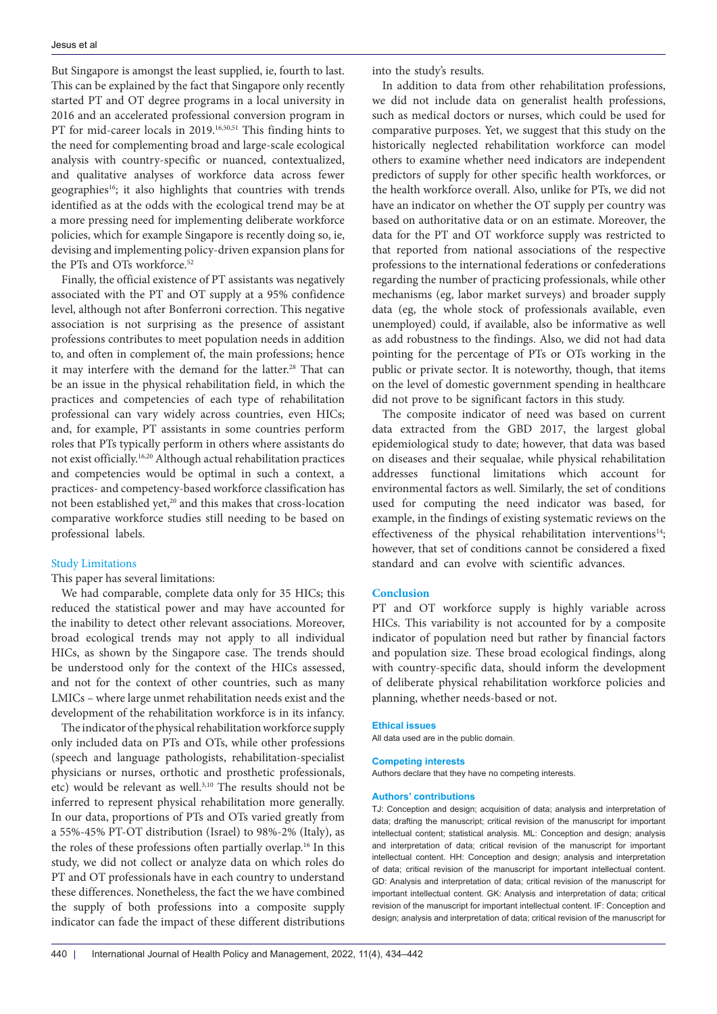But Singapore is amongst the least supplied, ie, fourth to last. This can be explained by the fact that Singapore only recently started PT and OT degree programs in a local university in 2016 and an accelerated professional conversion program in PT for mid-career locals in 2019.<sup>16,50,51</sup> This finding hints to the need for complementing broad and large-scale ecological analysis with country-specific or nuanced, contextualized, and qualitative analyses of workforce data across fewer geographies<sup>16</sup>; it also highlights that countries with trends identified as at the odds with the ecological trend may be at a more pressing need for implementing deliberate workforce policies, which for example Singapore is recently doing so, ie, devising and implementing policy-driven expansion plans for the PTs and OTs workforce.<sup>52</sup>

Finally, the official existence of PT assistants was negatively associated with the PT and OT supply at a 95% confidence level, although not after Bonferroni correction. This negative association is not surprising as the presence of assistant professions contributes to meet population needs in addition to, and often in complement of, the main professions; hence it may interfere with the demand for the latter.<sup>28</sup> That can be an issue in the physical rehabilitation field, in which the practices and competencies of each type of rehabilitation professional can vary widely across countries, even HICs; and, for example, PT assistants in some countries perform roles that PTs typically perform in others where assistants do not exist officially.16,20 Although actual rehabilitation practices and competencies would be optimal in such a context, a practices- and competency-based workforce classification has not been established yet,<sup>20</sup> and this makes that cross-location comparative workforce studies still needing to be based on professional labels.

# Study Limitations

This paper has several limitations:

We had comparable, complete data only for 35 HICs; this reduced the statistical power and may have accounted for the inability to detect other relevant associations. Moreover, broad ecological trends may not apply to all individual HICs, as shown by the Singapore case. The trends should be understood only for the context of the HICs assessed, and not for the context of other countries, such as many LMICs – where large unmet rehabilitation needs exist and the development of the rehabilitation workforce is in its infancy.

The indicator of the physical rehabilitation workforce supply only included data on PTs and OTs, while other professions (speech and language pathologists, rehabilitation-specialist physicians or nurses, orthotic and prosthetic professionals, etc) would be relevant as well.3,10 The results should not be inferred to represent physical rehabilitation more generally. In our data, proportions of PTs and OTs varied greatly from a 55%-45% PT-OT distribution (Israel) to 98%-2% (Italy), as the roles of these professions often partially overlap.16 In this study, we did not collect or analyze data on which roles do PT and OT professionals have in each country to understand these differences. Nonetheless, the fact the we have combined the supply of both professions into a composite supply indicator can fade the impact of these different distributions

into the study's results.

In addition to data from other rehabilitation professions, we did not include data on generalist health professions, such as medical doctors or nurses, which could be used for comparative purposes. Yet, we suggest that this study on the historically neglected rehabilitation workforce can model others to examine whether need indicators are independent predictors of supply for other specific health workforces, or the health workforce overall. Also, unlike for PTs, we did not have an indicator on whether the OT supply per country was based on authoritative data or on an estimate. Moreover, the data for the PT and OT workforce supply was restricted to that reported from national associations of the respective professions to the international federations or confederations regarding the number of practicing professionals, while other mechanisms (eg, labor market surveys) and broader supply data (eg, the whole stock of professionals available, even unemployed) could, if available, also be informative as well as add robustness to the findings. Also, we did not had data pointing for the percentage of PTs or OTs working in the public or private sector. It is noteworthy, though, that items on the level of domestic government spending in healthcare did not prove to be significant factors in this study.

The composite indicator of need was based on current data extracted from the GBD 2017, the largest global epidemiological study to date; however, that data was based on diseases and their sequalae, while physical rehabilitation addresses functional limitations which account for environmental factors as well. Similarly, the set of conditions used for computing the need indicator was based, for example, in the findings of existing systematic reviews on the effectiveness of the physical rehabilitation interventions<sup>14</sup>; however, that set of conditions cannot be considered a fixed standard and can evolve with scientific advances.

# **Conclusion**

PT and OT workforce supply is highly variable across HICs. This variability is not accounted for by a composite indicator of population need but rather by financial factors and population size. These broad ecological findings, along with country-specific data, should inform the development of deliberate physical rehabilitation workforce policies and planning, whether needs-based or not.

#### **Ethical issues**

All data used are in the public domain.

#### **Competing interests**

Authors declare that they have no competing interests.

## **Authors' contributions**

TJ: Conception and design; acquisition of data; analysis and interpretation of data; drafting the manuscript; critical revision of the manuscript for important intellectual content; statistical analysis. ML: Conception and design; analysis and interpretation of data; critical revision of the manuscript for important intellectual content. HH: Conception and design; analysis and interpretation of data; critical revision of the manuscript for important intellectual content. GD: Analysis and interpretation of data; critical revision of the manuscript for important intellectual content. GK: Analysis and interpretation of data; critical revision of the manuscript for important intellectual content. IF: Conception and design; analysis and interpretation of data; critical revision of the manuscript for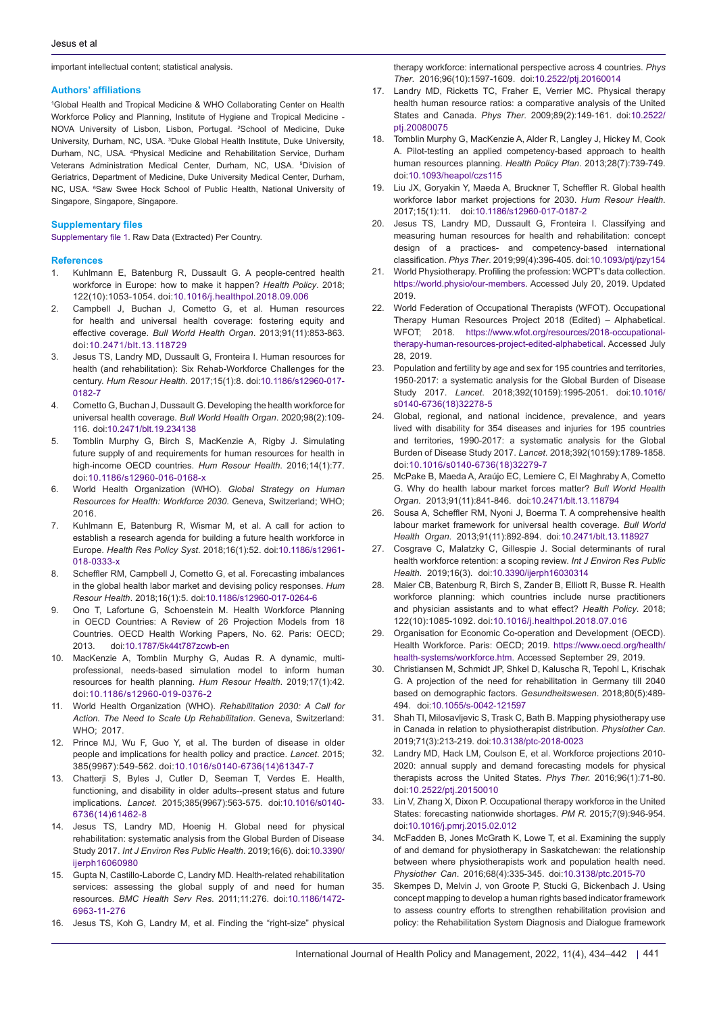important intellectual content; statistical analysis.

#### **Authors' affiliations**

1 Global Health and Tropical Medicine & WHO Collaborating Center on Health Workforce Policy and Planning, Institute of Hygiene and Tropical Medicine - NOVA University of Lisbon, Lisbon, Portugal. <sup>2</sup>School of Medicine, Duke University, Durham, NC, USA. <sup>3</sup>Duke Global Health Institute, Duke University, Durham, NC, USA. 4 Physical Medicine and Rehabilitation Service, Durham Veterans Administration Medical Center, Durham, NC, USA. 5 Division of Geriatrics, Department of Medicine, Duke University Medical Center, Durham, NC, USA. <sup>6</sup>Saw Swee Hock School of Public Health, National University of Singapore, Singapore, Singapore.

#### **Supplementary files**

<span id="page-7-0"></span>[Supplementary file 1](https://www.ijhpm.com/jufile?ar_sfile=42658). Raw Data (Extracted) Per Country.

#### **References**

- 1. Kuhlmann E, Batenburg R, Dussault G. A people-centred health workforce in Europe: how to make it happen? *Health Policy*. 2018; 122(10):1053-1054. doi:[10.1016/j.healthpol.2018.09.006](https://doi.org/10.1016/j.healthpol.2018.09.006)
- 2. Campbell J, Buchan J, Cometto G, et al. Human resources for health and universal health coverage: fostering equity and effective coverage. *Bull World Health Organ*. 2013;91(11):853-863. doi:[10.2471/blt.13.118729](https://doi.org/10.2471/blt.13.118729)
- 3. Jesus TS, Landry MD, Dussault G, Fronteira I. Human resources for health (and rehabilitation): Six Rehab-Workforce Challenges for the century. *Hum Resour Health*. 2017;15(1):8. doi[:10.1186/s12960-017-](https://doi.org/10.1186/s12960-017-0182-7) [0182-7](https://doi.org/10.1186/s12960-017-0182-7)
- 4. Cometto G, Buchan J, Dussault G. Developing the health workforce for universal health coverage. *Bull World Health Organ*. 2020;98(2):109- 116. doi[:10.2471/blt.19.234138](https://doi.org/10.2471/blt.19.234138)
- 5. Tomblin Murphy G, Birch S, MacKenzie A, Rigby J. Simulating future supply of and requirements for human resources for health in high-income OECD countries. *Hum Resour Health*. 2016;14(1):77. doi[:10.1186/s12960-016-0168-x](https://doi.org/10.1186/s12960-016-0168-x)
- 6. World Health Organization (WHO). *Global Strategy on Human Resources for Health: Workforce 2030*. Geneva, Switzerland; WHO; 2016.
- 7. Kuhlmann E, Batenburg R, Wismar M, et al. A call for action to establish a research agenda for building a future health workforce in Europe. *Health Res Policy Syst*. 2018;16(1):52. doi[:10.1186/s12961-](https://doi.org/10.1186/s12961-018-0333-x) [018-0333-x](https://doi.org/10.1186/s12961-018-0333-x)
- 8. Scheffler RM, Campbell J, Cometto G, et al. Forecasting imbalances in the global health labor market and devising policy responses. *Hum Resour Health*. 2018;16(1):5. doi:[10.1186/s12960-017-0264-6](https://doi.org/10.1186/s12960-017-0264-6)
- 9. Ono T, Lafortune G, Schoenstein M. Health Workforce Planning in OECD Countries: A Review of 26 Projection Models from 18 Countries. OECD Health Working Papers, No. 62. Paris: OECD; 2013. doi:[10.1787/5k44t787zcwb-en](https://doi.org/10.1787/5k44t787zcwb-en)
- 10. MacKenzie A, Tomblin Murphy G, Audas R. A dynamic, multiprofessional, needs-based simulation model to inform human resources for health planning. *Hum Resour Health*. 2019;17(1):42. doi:[10.1186/s12960-019-0376-2](https://doi.org/10.1186/s12960-019-0376-2)
- 11. World Health Organization (WHO). *Rehabilitation 2030: A Call for Action. The Need to Scale Up Rehabilitation*. Geneva, Switzerland: WHO; 2017.
- 12. Prince MJ, Wu F, Guo Y, et al. The burden of disease in older people and implications for health policy and practice. *Lancet*. 2015; 385(9967):549-562. doi:[10.1016/s0140-6736\(14\)61347-7](https://doi.org/10.1016/s0140-6736(14)61347-7)
- 13. Chatterji S, Byles J, Cutler D, Seeman T, Verdes E. Health, functioning, and disability in older adults--present status and future implications. *Lancet*. 2015;385(9967):563-575. doi:[10.1016/s0140-](https://doi.org/10.1016/s0140-6736(14)61462-8) [6736\(14\)61462-8](https://doi.org/10.1016/s0140-6736(14)61462-8)
- 14. Jesus TS, Landry MD, Hoenig H. Global need for physical rehabilitation: systematic analysis from the Global Burden of Disease Study 2017. *Int J Environ Res Public Health*. 2019;16(6). doi[:10.3390/](https://doi.org/10.3390/ijerph16060980) [ijerph16060980](https://doi.org/10.3390/ijerph16060980)
- 15. Gupta N, Castillo-Laborde C, Landry MD. Health-related rehabilitation services: assessing the global supply of and need for human resources. *BMC Health Serv Res*. 2011;11:276. doi[:10.1186/1472-](https://doi.org/10.1186/1472-6963-11-276) [6963-11-276](https://doi.org/10.1186/1472-6963-11-276)
- 16. Jesus TS, Koh G, Landry M, et al. Finding the "right-size" physical

therapy workforce: international perspective across 4 countries. *Phys Ther*. 2016;96(10):1597-1609. doi[:10.2522/ptj.20160014](https://doi.org/10.2522/ptj.20160014)

- 17. Landry MD, Ricketts TC, Fraher E, Verrier MC. Physical therapy health human resource ratios: a comparative analysis of the United States and Canada. *Phys Ther*. 2009;89(2):149-161. doi:[10.2522/](https://doi.org/10.2522/ptj.20080075) [ptj.20080075](https://doi.org/10.2522/ptj.20080075)
- 18. Tomblin Murphy G, MacKenzie A, Alder R, Langley J, Hickey M, Cook A. Pilot-testing an applied competency-based approach to health human resources planning. *Health Policy Plan*. 2013;28(7):739-749. doi[:10.1093/heapol/czs115](https://doi.org/10.1093/heapol/czs115)
- 19. Liu JX, Goryakin Y, Maeda A, Bruckner T, Scheffler R. Global health workforce labor market projections for 2030. *Hum Resour Health*. 2017;15(1):11. doi:[10.1186/s12960-017-0187-2](https://doi.org/10.1186/s12960-017-0187-2)
- 20. Jesus TS, Landry MD, Dussault G, Fronteira I. Classifying and measuring human resources for health and rehabilitation: concept design of a practices- and competency-based international classification. *Phys Ther*. 2019;99(4):396-405. doi[:10.1093/ptj/pzy154](https://doi.org/10.1093/ptj/pzy154)
- 21. World Physiotherapy. Profiling the profession: WCPT's data collection. <https://world.physio/our-members>. Accessed July 20, 2019. Updated 2019.
- 22. World Federation of Occupational Therapists (WFOT). Occupational Therapy Human Resources Project 2018 (Edited) – Alphabetical. WFOT; 2018. [https://www.wfot.org/resources/2018-occupational](https://www.wfot.org/resources/2018-occupational-therapy-human-resources-project-edited-alphabetical)[therapy-human-resources-project-edited-alphabetical.](https://www.wfot.org/resources/2018-occupational-therapy-human-resources-project-edited-alphabetical) Accessed July 28, 2019.
- 23. Population and fertility by age and sex for 195 countries and territories, 1950-2017: a systematic analysis for the Global Burden of Disease Study 2017. *Lancet*. 2018;392(10159):1995-2051. doi:[10.1016/](https://doi.org/10.1016/s0140-6736(18)32278-5) [s0140-6736\(18\)32278-5](https://doi.org/10.1016/s0140-6736(18)32278-5)
- 24. Global, regional, and national incidence, prevalence, and years lived with disability for 354 diseases and injuries for 195 countries and territories, 1990-2017: a systematic analysis for the Global Burden of Disease Study 2017. *Lancet*. 2018;392(10159):1789-1858. doi:[10.1016/s0140-6736\(18\)32279-7](https://doi.org/10.1016/s0140-6736(18)32279-7)
- 25. McPake B, Maeda A, Araújo EC, Lemiere C, El Maghraby A, Cometto G. Why do health labour market forces matter? *Bull World Health Organ*. 2013;91(11):841-846. doi[:10.2471/blt.13.118794](https://doi.org/10.2471/blt.13.118794)
- 26. Sousa A, Scheffler RM, Nyoni J, Boerma T. A comprehensive health labour market framework for universal health coverage. *Bull World Health Organ*. 2013;91(11):892-894. doi[:10.2471/blt.13.118927](https://doi.org/10.2471/blt.13.118927)
- 27. Cosgrave C, Malatzky C, Gillespie J. Social determinants of rural health workforce retention: a scoping review. *Int J Environ Res Public Health*. 2019;16(3). doi[:10.3390/ijerph16030314](https://doi.org/10.3390/ijerph16030314)
- 28. Maier CB, Batenburg R, Birch S, Zander B, Elliott R, Busse R. Health workforce planning: which countries include nurse practitioners and physician assistants and to what effect? *Health Policy*. 2018; 122(10):1085-1092. doi:[10.1016/j.healthpol.2018.07.016](https://doi.org/10.1016/j.healthpol.2018.07.016)
- 29. Organisation for Economic Co-operation and Development (OECD). Health Workforce. Paris: OECD; 2019. [https://www.oecd.org/health/](https://www.oecd.org/health/health-systems/workforce.htm) [health-systems/workforce.htm](https://www.oecd.org/health/health-systems/workforce.htm). Accessed September 29, 2019.
- 30. Christiansen M, Schmidt JP, Shkel D, Kaluscha R, Tepohl L, Krischak G. A projection of the need for rehabilitation in Germany till 2040 based on demographic factors. *Gesundheitswesen*. 2018;80(5):489- 494. doi[:10.1055/s-0042-121597](https://doi.org/10.1055/s-0042-121597)
- 31. Shah TI, Milosavljevic S, Trask C, Bath B. Mapping physiotherapy use in Canada in relation to physiotherapist distribution. *Physiother Can*. 2019;71(3):213-219. doi[:10.3138/ptc-2018-0023](https://doi.org/10.3138/ptc-2018-0023)
- 32. Landry MD, Hack LM, Coulson E, et al. Workforce projections 2010- 2020: annual supply and demand forecasting models for physical therapists across the United States. *Phys Ther.* 2016;96(1):71-80. doi:[10.2522/ptj.20150010](https://doi.org/10.2522/ptj.20150010)
- 33. Lin V, Zhang X, Dixon P. Occupational therapy workforce in the United States: forecasting nationwide shortages. *PM R.* 2015;7(9):946-954. doi:[10.1016/j.pmrj.2015.02.012](https://doi.org/10.1016/j.pmrj.2015.02.012)
- 34. McFadden B, Jones McGrath K, Lowe T, et al. Examining the supply of and demand for physiotherapy in Saskatchewan: the relationship between where physiotherapists work and population health need. *Physiother Can*. 2016;68(4):335-345. doi:[10.3138/ptc.2015-70](https://doi.org/10.3138/ptc.2015-70)
- 35. Skempes D, Melvin J, von Groote P, Stucki G, Bickenbach J. Using concept mapping to develop a human rights based indicator framework to assess country efforts to strengthen rehabilitation provision and policy: the Rehabilitation System Diagnosis and Dialogue framework